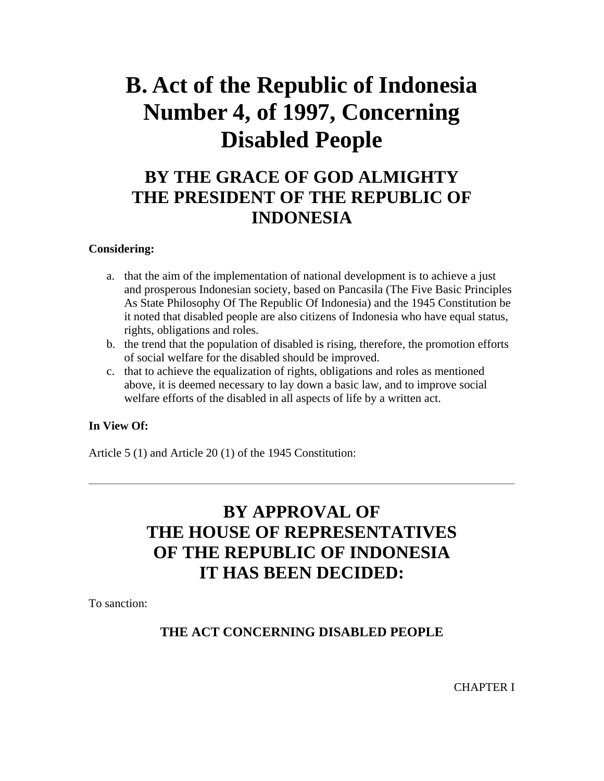# **B. Act of the Republic of Indonesia Number 4, of 1997, Concerning Disabled People**

# **BY THE GRACE OF GOD ALMIGHTY THE PRESIDENT OF THE REPUBLIC OF INDONESIA**

#### **Considering:**

- a. that the aim of the implementation of national development is to achieve a just and prosperous Indonesian society, based on Pancasila (The Five Basic Principles As State Philosophy Of The Republic Of Indonesia) and the 1945 Constitution be it noted that disabled people are also citizens of Indonesia who have equal status, rights, obligations and roles.
- b. the trend that the population of disabled is rising, therefore, the promotion efforts of social welfare for the disabled should be improved.
- c. that to achieve the equalization of rights, obligations and roles as mentioned above, it is deemed necessary to lay down a basic law, and to improve social welfare efforts of the disabled in all aspects of life by a written act.

#### **In View Of:**

Article 5 (1) and Article 20 (1) of the 1945 Constitution:

# **BY APPROVAL OF THE HOUSE OF REPRESENTATIVES OF THE REPUBLIC OF INDONESIA IT HAS BEEN DECIDED:**

To sanction:

#### **THE ACT CONCERNING DISABLED PEOPLE**

CHAPTER I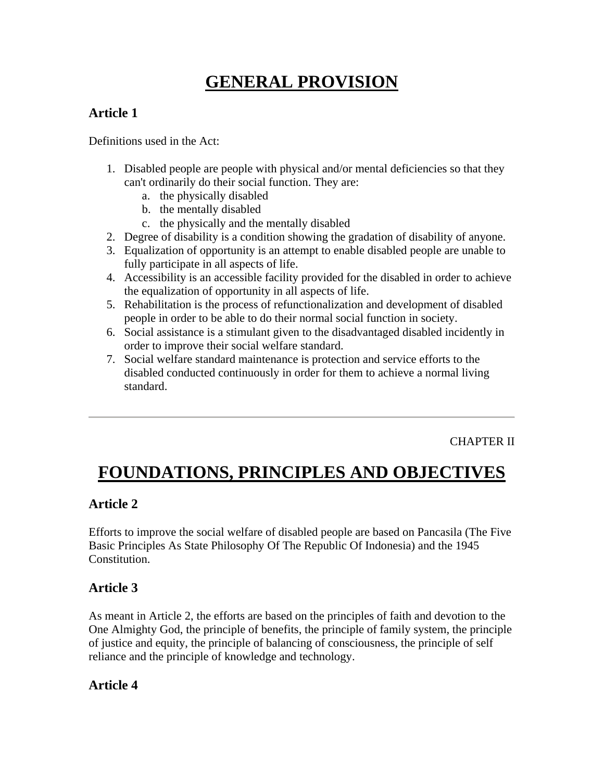# **GENERAL PROVISION**

### **Article 1**

Definitions used in the Act:

- 1. Disabled people are people with physical and/or mental deficiencies so that they can't ordinarily do their social function. They are:
	- a. the physically disabled
	- b. the mentally disabled
	- c. the physically and the mentally disabled
- 2. Degree of disability is a condition showing the gradation of disability of anyone.
- 3. Equalization of opportunity is an attempt to enable disabled people are unable to fully participate in all aspects of life.
- 4. Accessibility is an accessible facility provided for the disabled in order to achieve the equalization of opportunity in all aspects of life.
- 5. Rehabilitation is the process of refunctionalization and development of disabled people in order to be able to do their normal social function in society.
- 6. Social assistance is a stimulant given to the disadvantaged disabled incidently in order to improve their social welfare standard.
- 7. Social welfare standard maintenance is protection and service efforts to the disabled conducted continuously in order for them to achieve a normal living standard.

CHAPTER II

# **FOUNDATIONS, PRINCIPLES AND OBJECTIVES**

#### **Article 2**

Efforts to improve the social welfare of disabled people are based on Pancasila (The Five Basic Principles As State Philosophy Of The Republic Of Indonesia) and the 1945 Constitution.

#### **Article 3**

As meant in Article 2, the efforts are based on the principles of faith and devotion to the One Almighty God, the principle of benefits, the principle of family system, the principle of justice and equity, the principle of balancing of consciousness, the principle of self reliance and the principle of knowledge and technology.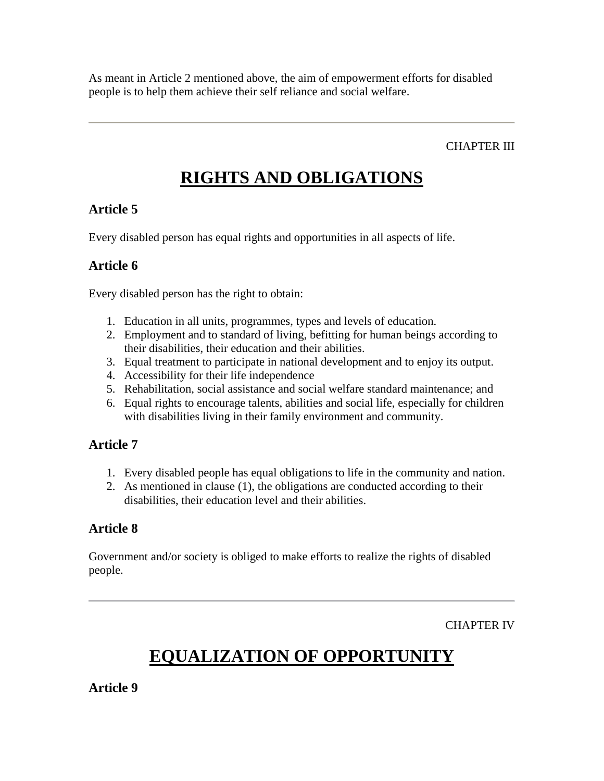As meant in Article 2 mentioned above, the aim of empowerment efforts for disabled people is to help them achieve their self reliance and social welfare.

CHAPTER III

# **RIGHTS AND OBLIGATIONS**

#### **Article 5**

Every disabled person has equal rights and opportunities in all aspects of life.

#### **Article 6**

Every disabled person has the right to obtain:

- 1. Education in all units, programmes, types and levels of education.
- 2. Employment and to standard of living, befitting for human beings according to their disabilities, their education and their abilities.
- 3. Equal treatment to participate in national development and to enjoy its output.
- 4. Accessibility for their life independence
- 5. Rehabilitation, social assistance and social welfare standard maintenance; and
- 6. Equal rights to encourage talents, abilities and social life, especially for children with disabilities living in their family environment and community.

#### **Article 7**

- 1. Every disabled people has equal obligations to life in the community and nation.
- 2. As mentioned in clause (1), the obligations are conducted according to their disabilities, their education level and their abilities.

#### **Article 8**

Government and/or society is obliged to make efforts to realize the rights of disabled people.

CHAPTER IV

# **EQUALIZATION OF OPPORTUNITY**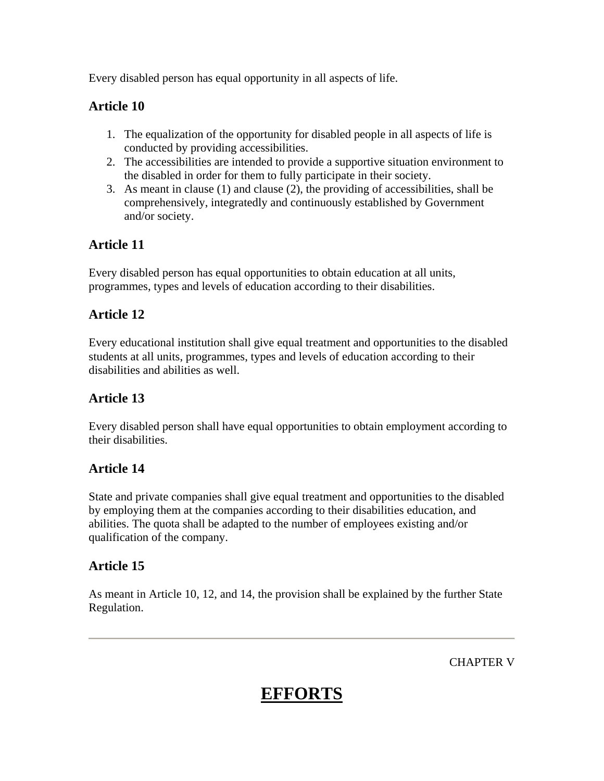Every disabled person has equal opportunity in all aspects of life.

#### **Article 10**

- 1. The equalization of the opportunity for disabled people in all aspects of life is conducted by providing accessibilities.
- 2. The accessibilities are intended to provide a supportive situation environment to the disabled in order for them to fully participate in their society.
- 3. As meant in clause (1) and clause (2), the providing of accessibilities, shall be comprehensively, integratedly and continuously established by Government and/or society.

### **Article 11**

Every disabled person has equal opportunities to obtain education at all units, programmes, types and levels of education according to their disabilities.

### **Article 12**

Every educational institution shall give equal treatment and opportunities to the disabled students at all units, programmes, types and levels of education according to their disabilities and abilities as well.

### **Article 13**

Every disabled person shall have equal opportunities to obtain employment according to their disabilities.

#### **Article 14**

State and private companies shall give equal treatment and opportunities to the disabled by employing them at the companies according to their disabilities education, and abilities. The quota shall be adapted to the number of employees existing and/or qualification of the company.

### **Article 15**

As meant in Article 10, 12, and 14, the provision shall be explained by the further State Regulation.

CHAPTER V

# **EFFORTS**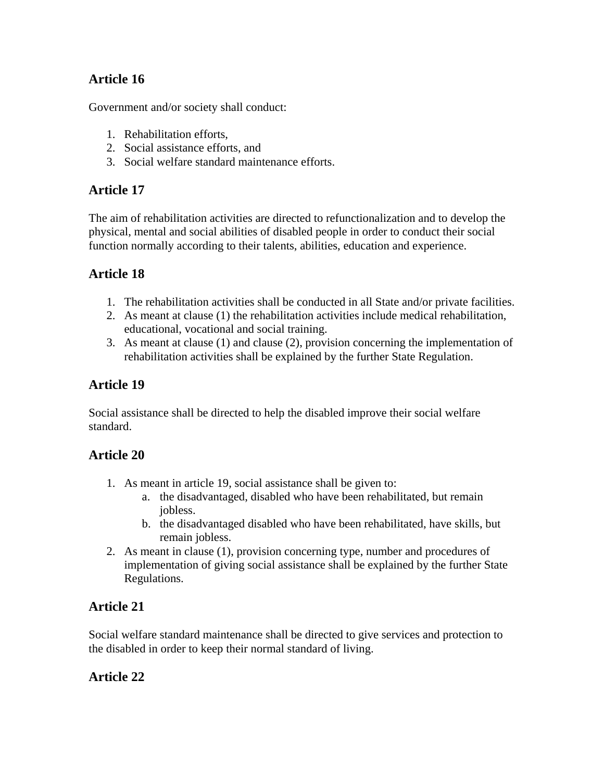### **Article 16**

Government and/or society shall conduct:

- 1. Rehabilitation efforts,
- 2. Social assistance efforts, and
- 3. Social welfare standard maintenance efforts.

#### **Article 17**

The aim of rehabilitation activities are directed to refunctionalization and to develop the physical, mental and social abilities of disabled people in order to conduct their social function normally according to their talents, abilities, education and experience.

### **Article 18**

- 1. The rehabilitation activities shall be conducted in all State and/or private facilities.
- 2. As meant at clause (1) the rehabilitation activities include medical rehabilitation, educational, vocational and social training.
- 3. As meant at clause (1) and clause (2), provision concerning the implementation of rehabilitation activities shall be explained by the further State Regulation.

### **Article 19**

Social assistance shall be directed to help the disabled improve their social welfare standard.

#### **Article 20**

- 1. As meant in article 19, social assistance shall be given to:
	- a. the disadvantaged, disabled who have been rehabilitated, but remain jobless.
	- b. the disadvantaged disabled who have been rehabilitated, have skills, but remain jobless.
- 2. As meant in clause (1), provision concerning type, number and procedures of implementation of giving social assistance shall be explained by the further State Regulations.

### **Article 21**

Social welfare standard maintenance shall be directed to give services and protection to the disabled in order to keep their normal standard of living.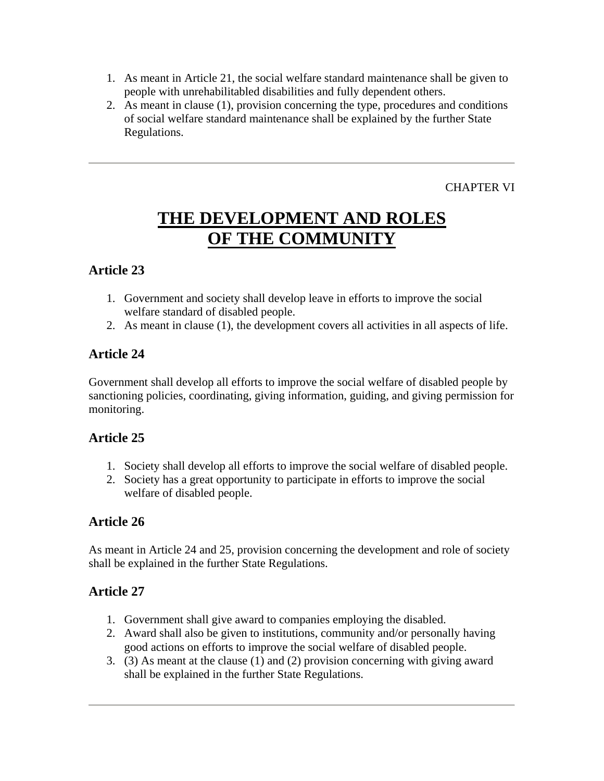- 1. As meant in Article 21, the social welfare standard maintenance shall be given to people with unrehabilitabled disabilities and fully dependent others.
- 2. As meant in clause (1), provision concerning the type, procedures and conditions of social welfare standard maintenance shall be explained by the further State Regulations.

CHAPTER VI

# **THE DEVELOPMENT AND ROLES OF THE COMMUNITY**

#### **Article 23**

- 1. Government and society shall develop leave in efforts to improve the social welfare standard of disabled people.
- 2. As meant in clause (1), the development covers all activities in all aspects of life.

#### **Article 24**

Government shall develop all efforts to improve the social welfare of disabled people by sanctioning policies, coordinating, giving information, guiding, and giving permission for monitoring.

#### **Article 25**

- 1. Society shall develop all efforts to improve the social welfare of disabled people.
- 2. Society has a great opportunity to participate in efforts to improve the social welfare of disabled people.

#### **Article 26**

As meant in Article 24 and 25, provision concerning the development and role of society shall be explained in the further State Regulations.

- 1. Government shall give award to companies employing the disabled.
- 2. Award shall also be given to institutions, community and/or personally having good actions on efforts to improve the social welfare of disabled people.
- 3. (3) As meant at the clause (1) and (2) provision concerning with giving award shall be explained in the further State Regulations.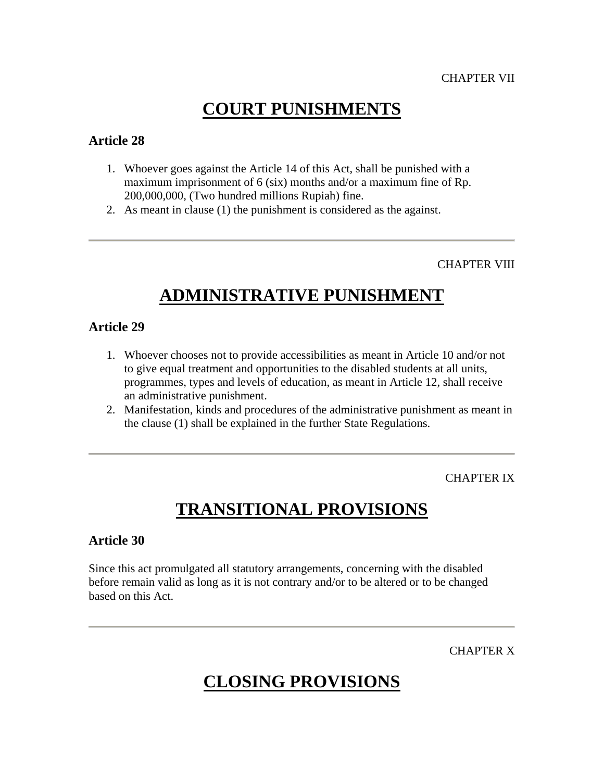### **COURT PUNISHMENTS**

#### **Article 28**

- 1. Whoever goes against the Article 14 of this Act, shall be punished with a maximum imprisonment of 6 (six) months and/or a maximum fine of Rp. 200,000,000, (Two hundred millions Rupiah) fine.
- 2. As meant in clause (1) the punishment is considered as the against.

CHAPTER VIII

# **ADMINISTRATIVE PUNISHMENT**

#### **Article 29**

- 1. Whoever chooses not to provide accessibilities as meant in Article 10 and/or not to give equal treatment and opportunities to the disabled students at all units, programmes, types and levels of education, as meant in Article 12, shall receive an administrative punishment.
- 2. Manifestation, kinds and procedures of the administrative punishment as meant in the clause (1) shall be explained in the further State Regulations.

CHAPTER IX

# **TRANSITIONAL PROVISIONS**

#### **Article 30**

Since this act promulgated all statutory arrangements, concerning with the disabled before remain valid as long as it is not contrary and/or to be altered or to be changed based on this Act.

CHAPTER X

# **CLOSING PROVISIONS**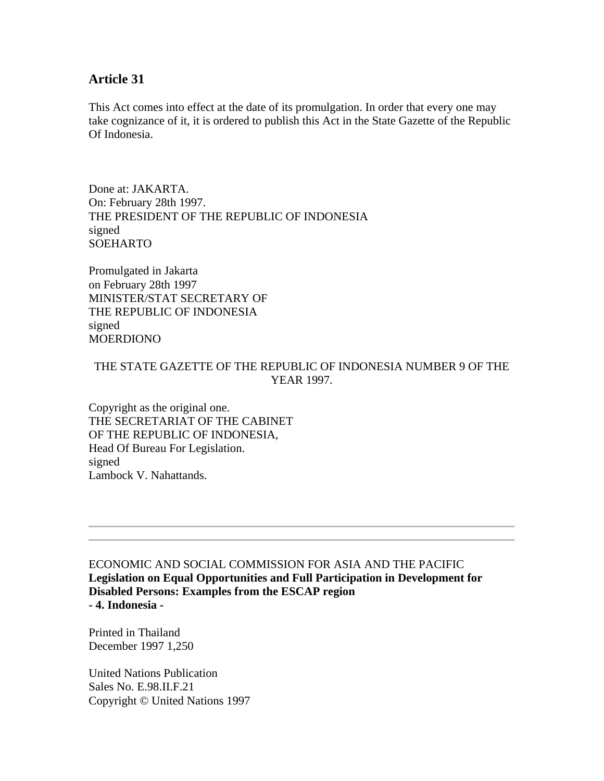#### **Article 31**

This Act comes into effect at the date of its promulgation. In order that every one may take cognizance of it, it is ordered to publish this Act in the State Gazette of the Republic Of Indonesia.

Done at: JAKARTA. On: February 28th 1997. THE PRESIDENT OF THE REPUBLIC OF INDONESIA signed SOEHARTO

Promulgated in Jakarta on February 28th 1997 MINISTER/STAT SECRETARY OF THE REPUBLIC OF INDONESIA signed MOERDIONO

#### THE STATE GAZETTE OF THE REPUBLIC OF INDONESIA NUMBER 9 OF THE YEAR 1997.

Copyright as the original one. THE SECRETARIAT OF THE CABINET OF THE REPUBLIC OF INDONESIA, Head Of Bureau For Legislation. signed Lambock V. Nahattands.

ECONOMIC AND SOCIAL COMMISSION FOR ASIA AND THE PACIFIC **Legislation on Equal Opportunities and Full Participation in Development for Disabled Persons: Examples from the ESCAP region - 4. Indonesia -**

Printed in Thailand December 1997 1,250

United Nations Publication Sales No. E.98.II.F.21 Copyright © United Nations 1997